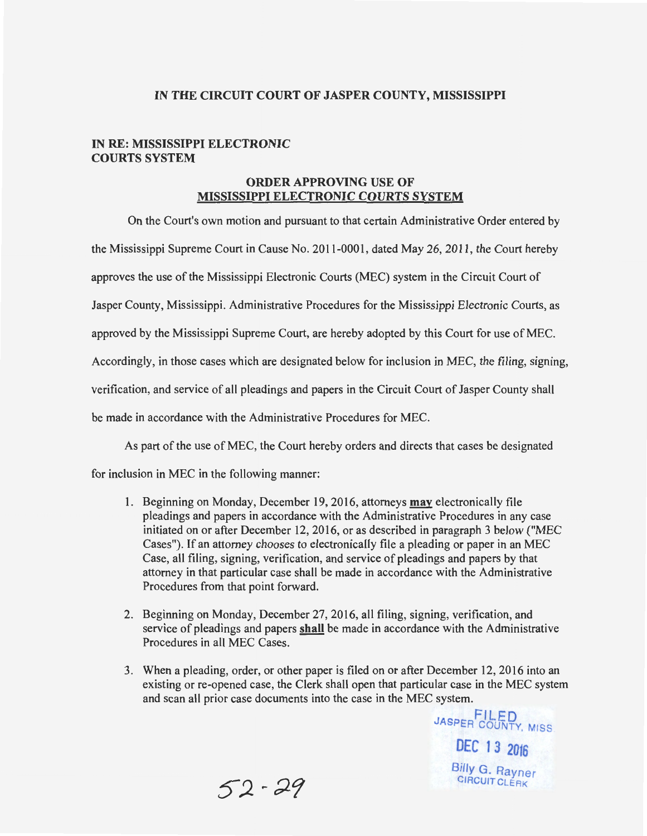## **IN THE CIRCUIT COURT OF JASPER COUNTY, MISSISSIPPI**

## **IN RE: MISSISSIPPI ELECTRONIC COURTS SYSTEM**

## **ORDER APPROVING USE OF MISSISSIPPI ELECTRONIC COURTS SYSTEM**

On the Court's own motion and pursuant to that certain Administrative Order entered by

the Mississippi Supreme Court in Cause No. 2011-0001 , dated May 26, 2011 , the Court hereby

approves the use of the Mississippi Electronic Courts (MEC) system in the Circuit Court of

Jasper County, Mississippi. Administrative Procedures for the Mississippi Electronic Courts, as

approved by the Mississippi Supreme Court, are hereby adopted by this Court for use of MEC.

Accordingly, in those cases which are designated below for inclusion in MEC, the filing, signing,

verification, and service of all pleadings and papers in the Circuit Court of Jasper County shall

be made in accordance with the Administrative Procedures for MEC.

As part of the use of MEC, the Court hereby orders and directs that cases be designated

for inclusion in MEC in the following manner:

- 1. Beginning on Monday, December 19, 2016, attorneys **may** electronically file pleadings and papers in accordance with the Administrative Procedures in any case initiated on or after December 12, 2016, or as described in paragraph 3 below ("MEC Cases"). If an attorney chooses to electronically file a pleading or paper in an MEC Case, all filing, signing, verification, and service of pleadings and papers by that attorney in that particular case shall be made in accordance with the Administrative Procedures from that point forward.
- 2. Beginning on Monday, December 27, 2016, all filing, signing, verification, and service of pleadings and papers **shall** be made in accordance with the Administrative Procedures in all MEC Cases.
- 3. When a pleading, order, or other paper is filed on or after December 12, 2016 into an existing or re-opened case, the Clerk shall open that particular case in the MEC system and scan all prior case documents into the case in the MEC system.

JASPER COUNTY, MISS **DEC 13 2016**  *Billy* G. Rayner **CIRCUIT CLERK** 

 $52 - 29$